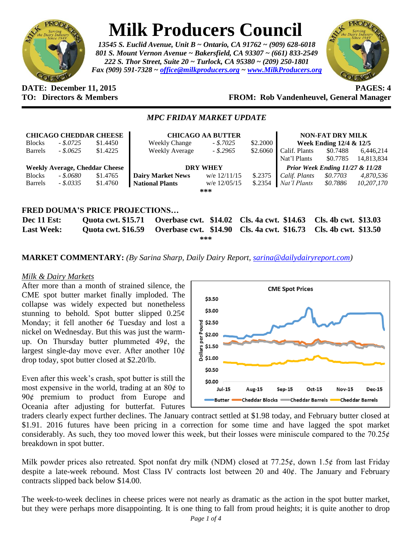

# **Milk Producers Council**

*13545 S. Euclid Avenue, Unit B ~ Ontario, CA 91762 ~ (909) 628-6018 801 S. Mount Vernon Avenue ~ Bakersfield, CA 93307 ~ (661) 833-2549 222 S. Thor Street, Suite 20 ~ Turlock, CA 95380 ~ (209) 250-1801 Fax (909) 591-7328 ~ [office@milkproducers.org](mailto:office@milkproducers.org) ~ [www.MilkProducers.org](http://www.milkproducers.org/)*



#### **DATE: December 11, 2015 PAGES: 4 TO: Directors & Members FROM: Rob Vandenheuvel, General Manager**

## *MPC FRIDAY MARKET UPDATE*

|                                       |            | <b>CHICAGO CHEDDAR CHEESE</b>         | <b>CHICAGO AA BUTTER</b>                   |                |           | <b>NON-FAT DRY MILK</b>         |                      |            |
|---------------------------------------|------------|---------------------------------------|--------------------------------------------|----------------|-----------|---------------------------------|----------------------|------------|
| <b>Blocks</b>                         | $-.5.0725$ | \$1.4450                              | <b>Weekly Change</b>                       | $-.5.7025$     | \$2,2000  | Week Ending 12/4 & 12/5         |                      |            |
| <b>Barrels</b>                        | $-.8.0625$ | \$1.4225                              | Weekly Average                             | $-.2965$       | \$2.6060  | Calif. Plants                   | \$0.7488             | 6,446,214  |
|                                       |            |                                       |                                            |                |           | Nat'l Plants                    | \$0.7785             | 14,813,834 |
|                                       |            | <b>Weekly Average, Cheddar Cheese</b> | <b>DRY WHEY</b>                            |                |           | Prior Week Ending 11/27 & 11/28 |                      |            |
| <b>Blocks</b>                         | - \$.0680  | \$1.4765                              | <b>Dairy Market News</b>                   | w/e $12/11/15$ | \$.2375   | Calif. Plants                   | \$0.7703             | 4,870,536  |
| <b>Barrels</b>                        | $-.8.0335$ | \$1.4760                              | <b>National Plants</b>                     | w/e 12/05/15   | $\$.2354$ | Nat'l Plants                    | \$0.7886             | 10,207,170 |
| ***                                   |            |                                       |                                            |                |           |                                 |                      |            |
|                                       |            |                                       |                                            |                |           |                                 |                      |            |
| <b>FRED DOUMA'S PRICE PROJECTIONS</b> |            |                                       |                                            |                |           |                                 |                      |            |
| Dec 11 Est:                           |            | <b>Quota cwt. \$15.71</b>             | Overbase cwt. \$14.02 Cls. 4a cwt. \$14.63 |                |           |                                 | Cls. 4b cwt. \$13.03 |            |

**Last Week: Quota cwt. \$16.59 Overbase cwt. \$14.90 Cls. 4a cwt. \$16.73 Cls. 4b cwt. \$13.50 \*\*\***

## **MARKET COMMENTARY:** *(By Sarina Sharp, Daily Dairy Report, [sarina@dailydairyreport.com\)](mailto:sarina@dailydairyreport.com)*

#### *Milk & Dairy Markets*

After more than a month of strained silence, the CME spot butter market finally imploded. The collapse was widely expected but nonetheless stunning to behold. Spot butter slipped  $0.25¢$ Monday; it fell another  $6¢$  Tuesday and lost a nickel on Wednesday. But this was just the warmup. On Thursday butter plummeted  $49¢$ , the largest single-day move ever. After another  $10¢$ drop today, spot butter closed at \$2.20/lb.

Even after this week's crash, spot butter is still the most expensive in the world, trading at an  $80¢$  to 90¢ premium to product from Europe and Oceania after adjusting for butterfat. Futures



traders clearly expect further declines. The January contract settled at \$1.98 today, and February butter closed at \$1.91. 2016 futures have been pricing in a correction for some time and have lagged the spot market considerably. As such, they too moved lower this week, but their losses were miniscule compared to the  $70.25¢$ breakdown in spot butter.

Milk powder prices also retreated. Spot nonfat dry milk (NDM) closed at  $77.25¢$ , down  $1.5¢$  from last Friday despite a late-week rebound. Most Class IV contracts lost between 20 and 40ȼ. The January and February contracts slipped back below \$14.00.

The week-to-week declines in cheese prices were not nearly as dramatic as the action in the spot butter market, but they were perhaps more disappointing. It is one thing to fall from proud heights; it is quite another to drop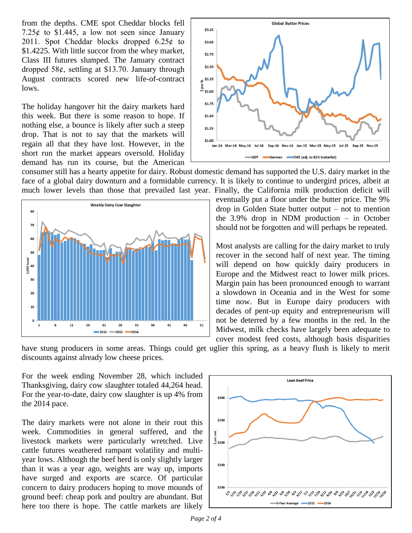from the depths. CME spot Cheddar blocks fell 7.25 $\ell$  to \$1.445, a low not seen since January 2011. Spot Cheddar blocks dropped  $6.25¢$  to \$1.4225. With little succor from the whey market, Class III futures slumped. The January contract dropped  $58¢$ , settling at \$13.70. January through August contracts scored new life-of-contract lows.

The holiday hangover hit the dairy markets hard this week. But there is some reason to hope. If nothing else, a bounce is likely after such a steep drop. That is not to say that the markets will regain all that they have lost. However, in the short run the market appears oversold. Holiday demand has run its course, but the American



consumer still has a hearty appetite for dairy. Robust domestic demand has supported the U.S. dairy market in the face of a global dairy downturn and a formidable currency. It is likely to continue to undergird prices, albeit at much lower levels than those that prevailed last year. Finally, the California milk production deficit will



eventually put a floor under the butter price. The 9% drop in Golden State butter output – not to mention the 3.9% drop in NDM production – in October should not be forgotten and will perhaps be repeated.

Most analysts are calling for the dairy market to truly recover in the second half of next year. The timing will depend on how quickly dairy producers in Europe and the Midwest react to lower milk prices. Margin pain has been pronounced enough to warrant a slowdown in Oceania and in the West for some time now. But in Europe dairy producers with decades of pent-up equity and entrepreneurism will not be deterred by a few months in the red. In the Midwest, milk checks have largely been adequate to cover modest feed costs, although basis disparities

have stung producers in some areas. Things could get uglier this spring, as a heavy flush is likely to merit discounts against already low cheese prices.

For the week ending November 28, which included Thanksgiving, dairy cow slaughter totaled 44,264 head. For the year-to-date, dairy cow slaughter is up 4% from the 2014 pace.

The dairy markets were not alone in their rout this week. Commodities in general suffered, and the livestock markets were particularly wretched. Live cattle futures weathered rampant volatility and multiyear lows. Although the beef herd is only slightly larger than it was a year ago, weights are way up, imports have surged and exports are scarce. Of particular concern to dairy producers hoping to move mounds of ground beef: cheap pork and poultry are abundant. But here too there is hope. The cattle markets are likely

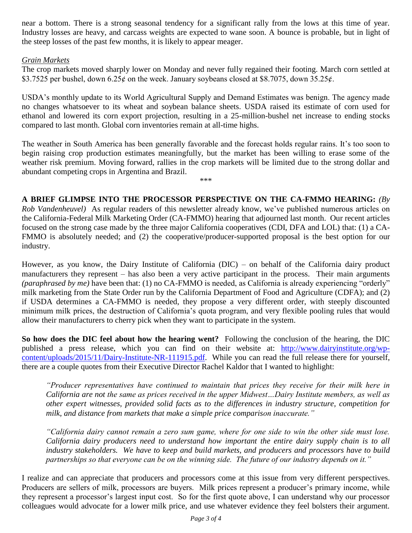near a bottom. There is a strong seasonal tendency for a significant rally from the lows at this time of year. Industry losses are heavy, and carcass weights are expected to wane soon. A bounce is probable, but in light of the steep losses of the past few months, it is likely to appear meager.

### *Grain Markets*

The crop markets moved sharply lower on Monday and never fully regained their footing. March corn settled at \$3.7525 per bushel, down  $6.25¢$  on the week. January soybeans closed at \$8.7075, down 35.25 $¢$ .

USDA's monthly update to its World Agricultural Supply and Demand Estimates was benign. The agency made no changes whatsoever to its wheat and soybean balance sheets. USDA raised its estimate of corn used for ethanol and lowered its corn export projection, resulting in a 25-million-bushel net increase to ending stocks compared to last month. Global corn inventories remain at all-time highs.

The weather in South America has been generally favorable and the forecast holds regular rains. It's too soon to begin raising crop production estimates meaningfully, but the market has been willing to erase some of the weather risk premium. Moving forward, rallies in the crop markets will be limited due to the strong dollar and abundant competing crops in Argentina and Brazil.

\*\*\*

**A BRIEF GLIMPSE INTO THE PROCESSOR PERSPECTIVE ON THE CA-FMMO HEARING:** *(By Rob Vandenheuvel)* As regular readers of this newsletter already know, we've published numerous articles on the California-Federal Milk Marketing Order (CA-FMMO) hearing that adjourned last month. Our recent articles focused on the strong case made by the three major California cooperatives (CDI, DFA and LOL) that: (1) a CA-FMMO is absolutely needed; and (2) the cooperative/producer-supported proposal is the best option for our industry.

However, as you know, the Dairy Institute of California (DIC) – on behalf of the California dairy product manufacturers they represent – has also been a very active participant in the process. Their main arguments *(paraphrased by me)* have been that: (1) no CA-FMMO is needed, as California is already experiencing "orderly" milk marketing from the State Order run by the California Department of Food and Agriculture (CDFA); and (2) if USDA determines a CA-FMMO is needed, they propose a very different order, with steeply discounted minimum milk prices, the destruction of California's quota program, and very flexible pooling rules that would allow their manufacturers to cherry pick when they want to participate in the system.

**So how does the DIC feel about how the hearing went?** Following the conclusion of the hearing, the DIC published a press release, which you can find on their website at: [http://www.dairyinstitute.org/wp](http://www.dairyinstitute.org/wp-content/uploads/2015/11/Dairy-Institute-NR-111915.pdf)[content/uploads/2015/11/Dairy-Institute-NR-111915.pdf.](http://www.dairyinstitute.org/wp-content/uploads/2015/11/Dairy-Institute-NR-111915.pdf) While you can read the full release there for yourself, there are a couple quotes from their Executive Director Rachel Kaldor that I wanted to highlight:

*"Producer representatives have continued to maintain that prices they receive for their milk here in California are not the same as prices received in the upper Midwest…Dairy Institute members, as well as other expert witnesses, provided solid facts as to the differences in industry structure, competition for milk, and distance from markets that make a simple price comparison inaccurate."*

*"California dairy cannot remain a zero sum game, where for one side to win the other side must lose. California dairy producers need to understand how important the entire dairy supply chain is to all industry stakeholders. We have to keep and build markets, and producers and processors have to build partnerships so that everyone can be on the winning side. The future of our industry depends on it."*

I realize and can appreciate that producers and processors come at this issue from very different perspectives. Producers are sellers of milk, processors are buyers. Milk prices represent a producer's primary income, while they represent a processor's largest input cost. So for the first quote above, I can understand why our processor colleagues would advocate for a lower milk price, and use whatever evidence they feel bolsters their argument.